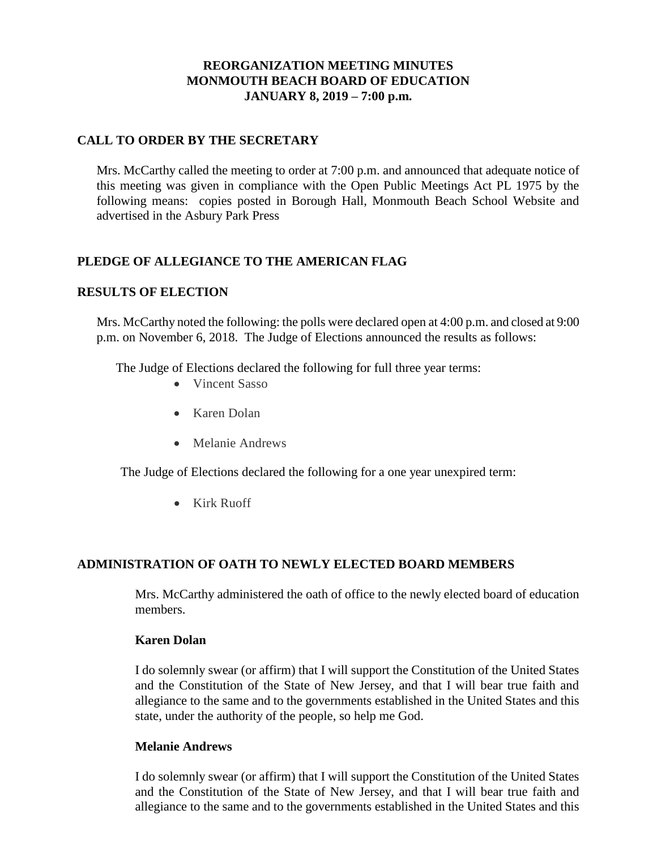# **REORGANIZATION MEETING MINUTES MONMOUTH BEACH BOARD OF EDUCATION JANUARY 8, 2019 – 7:00 p.m.**

### **CALL TO ORDER BY THE SECRETARY**

Mrs. McCarthy called the meeting to order at 7:00 p.m. and announced that adequate notice of this meeting was given in compliance with the Open Public Meetings Act PL 1975 by the following means: copies posted in Borough Hall, Monmouth Beach School Website and advertised in the Asbury Park Press

### **PLEDGE OF ALLEGIANCE TO THE AMERICAN FLAG**

### **RESULTS OF ELECTION**

Mrs. McCarthy noted the following: the polls were declared open at 4:00 p.m. and closed at 9:00 p.m. on November 6, 2018. The Judge of Elections announced the results as follows:

The Judge of Elections declared the following for full three year terms:

- Vincent Sasso
- Karen Dolan
- Melanie Andrews

The Judge of Elections declared the following for a one year unexpired term:

• Kirk Ruoff

### **ADMINISTRATION OF OATH TO NEWLY ELECTED BOARD MEMBERS**

Mrs. McCarthy administered the oath of office to the newly elected board of education members.

#### **Karen Dolan**

I do solemnly swear (or affirm) that I will support the Constitution of the United States and the Constitution of the State of New Jersey, and that I will bear true faith and allegiance to the same and to the governments established in the United States and this state, under the authority of the people, so help me God.

#### **Melanie Andrews**

I do solemnly swear (or affirm) that I will support the Constitution of the United States and the Constitution of the State of New Jersey, and that I will bear true faith and allegiance to the same and to the governments established in the United States and this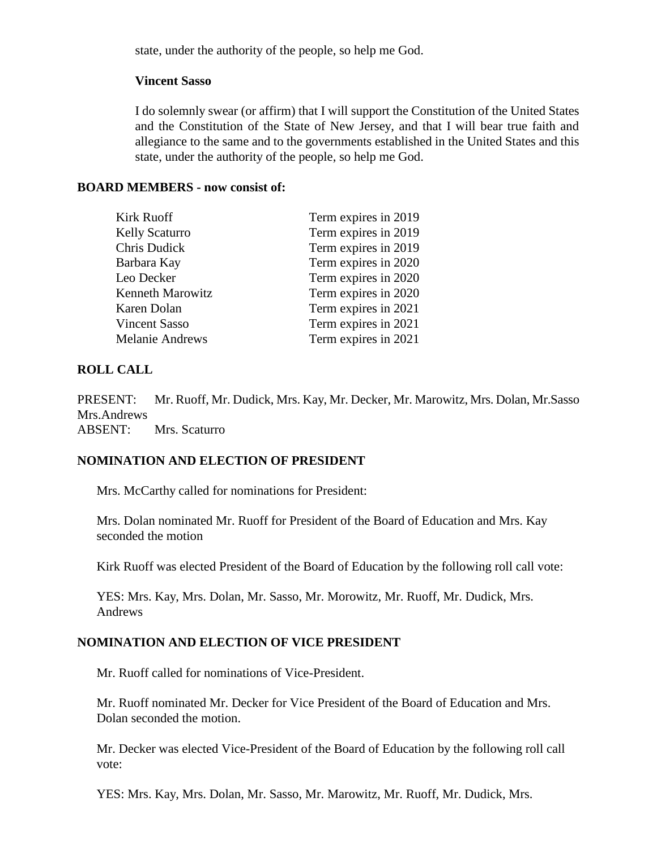state, under the authority of the people, so help me God.

#### **Vincent Sasso**

I do solemnly swear (or affirm) that I will support the Constitution of the United States and the Constitution of the State of New Jersey, and that I will bear true faith and allegiance to the same and to the governments established in the United States and this state, under the authority of the people, so help me God.

#### **BOARD MEMBERS - now consist of:**

| <b>Kirk Ruoff</b>       | Term expires in 2019 |
|-------------------------|----------------------|
| Kelly Scaturro          | Term expires in 2019 |
| Chris Dudick            | Term expires in 2019 |
| Barbara Kay             | Term expires in 2020 |
| Leo Decker              | Term expires in 2020 |
| <b>Kenneth Marowitz</b> | Term expires in 2020 |
| Karen Dolan             | Term expires in 2021 |
| <b>Vincent Sasso</b>    | Term expires in 2021 |
| Melanie Andrews         | Term expires in 2021 |

### **ROLL CALL**

PRESENT: Mr. Ruoff, Mr. Dudick, Mrs. Kay, Mr. Decker, Mr. Marowitz, Mrs. Dolan, Mr.Sasso Mrs.Andrews ABSENT: Mrs. Scaturro

### **NOMINATION AND ELECTION OF PRESIDENT**

Mrs. McCarthy called for nominations for President:

Mrs. Dolan nominated Mr. Ruoff for President of the Board of Education and Mrs. Kay seconded the motion

Kirk Ruoff was elected President of the Board of Education by the following roll call vote:

YES: Mrs. Kay, Mrs. Dolan, Mr. Sasso, Mr. Morowitz, Mr. Ruoff, Mr. Dudick, Mrs. Andrews

### **NOMINATION AND ELECTION OF VICE PRESIDENT**

Mr. Ruoff called for nominations of Vice-President.

Mr. Ruoff nominated Mr. Decker for Vice President of the Board of Education and Mrs. Dolan seconded the motion.

Mr. Decker was elected Vice-President of the Board of Education by the following roll call vote:

YES: Mrs. Kay, Mrs. Dolan, Mr. Sasso, Mr. Marowitz, Mr. Ruoff, Mr. Dudick, Mrs.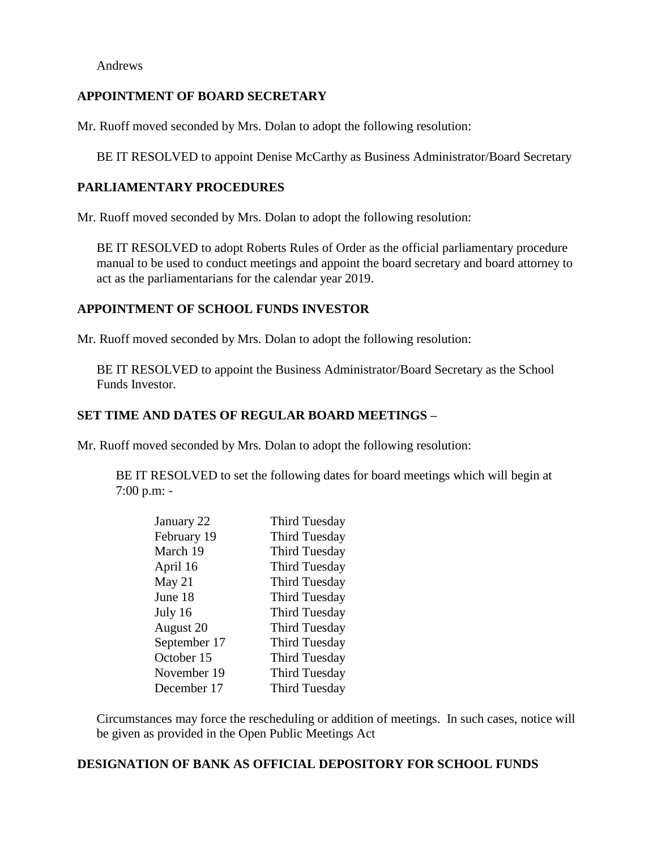Andrews

### **APPOINTMENT OF BOARD SECRETARY**

Mr. Ruoff moved seconded by Mrs. Dolan to adopt the following resolution:

BE IT RESOLVED to appoint Denise McCarthy as Business Administrator/Board Secretary

### **PARLIAMENTARY PROCEDURES**

Mr. Ruoff moved seconded by Mrs. Dolan to adopt the following resolution:

BE IT RESOLVED to adopt Roberts Rules of Order as the official parliamentary procedure manual to be used to conduct meetings and appoint the board secretary and board attorney to act as the parliamentarians for the calendar year 2019.

### **APPOINTMENT OF SCHOOL FUNDS INVESTOR**

Mr. Ruoff moved seconded by Mrs. Dolan to adopt the following resolution:

BE IT RESOLVED to appoint the Business Administrator/Board Secretary as the School Funds Investor.

### **SET TIME AND DATES OF REGULAR BOARD MEETINGS –**

Mr. Ruoff moved seconded by Mrs. Dolan to adopt the following resolution:

BE IT RESOLVED to set the following dates for board meetings which will begin at 7:00 p.m: -

| January 22   | <b>Third Tuesday</b> |
|--------------|----------------------|
| February 19  | <b>Third Tuesday</b> |
| March 19     | <b>Third Tuesday</b> |
| April 16     | <b>Third Tuesday</b> |
| May 21       | <b>Third Tuesday</b> |
| June 18      | <b>Third Tuesday</b> |
| July 16      | <b>Third Tuesday</b> |
| August 20    | <b>Third Tuesday</b> |
| September 17 | <b>Third Tuesday</b> |
| October 15   | <b>Third Tuesday</b> |
| November 19  | <b>Third Tuesday</b> |
| December 17  | <b>Third Tuesday</b> |

Circumstances may force the rescheduling or addition of meetings. In such cases, notice will be given as provided in the Open Public Meetings Act

### **DESIGNATION OF BANK AS OFFICIAL DEPOSITORY FOR SCHOOL FUNDS**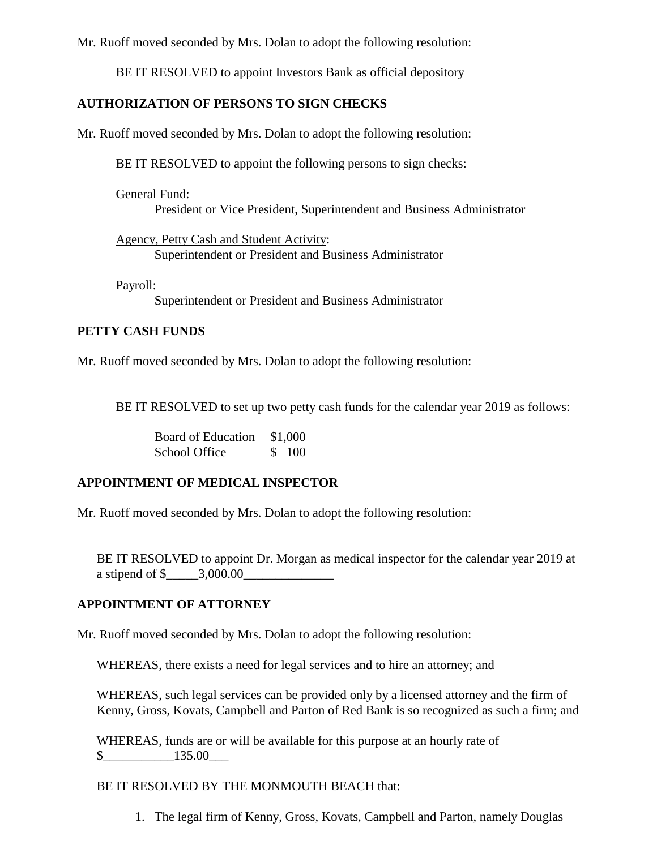Mr. Ruoff moved seconded by Mrs. Dolan to adopt the following resolution:

BE IT RESOLVED to appoint Investors Bank as official depository

# **AUTHORIZATION OF PERSONS TO SIGN CHECKS**

Mr. Ruoff moved seconded by Mrs. Dolan to adopt the following resolution:

BE IT RESOLVED to appoint the following persons to sign checks:

General Fund: President or Vice President, Superintendent and Business Administrator

Agency, Petty Cash and Student Activity: Superintendent or President and Business Administrator

Payroll:

Superintendent or President and Business Administrator

# **PETTY CASH FUNDS**

Mr. Ruoff moved seconded by Mrs. Dolan to adopt the following resolution:

BE IT RESOLVED to set up two petty cash funds for the calendar year 2019 as follows:

Board of Education \$1,000 School Office \$ 100

# **APPOINTMENT OF MEDICAL INSPECTOR**

Mr. Ruoff moved seconded by Mrs. Dolan to adopt the following resolution:

BE IT RESOLVED to appoint Dr. Morgan as medical inspector for the calendar year 2019 at a stipend of  $\frac{1}{2}$  = 3,000.00

# **APPOINTMENT OF ATTORNEY**

Mr. Ruoff moved seconded by Mrs. Dolan to adopt the following resolution:

WHEREAS, there exists a need for legal services and to hire an attorney; and

WHEREAS, such legal services can be provided only by a licensed attorney and the firm of Kenny, Gross, Kovats, Campbell and Parton of Red Bank is so recognized as such a firm; and

WHEREAS, funds are or will be available for this purpose at an hourly rate of  $\frac{\$}{135.00}$ 

# BE IT RESOLVED BY THE MONMOUTH BEACH that:

1. The legal firm of Kenny, Gross, Kovats, Campbell and Parton, namely Douglas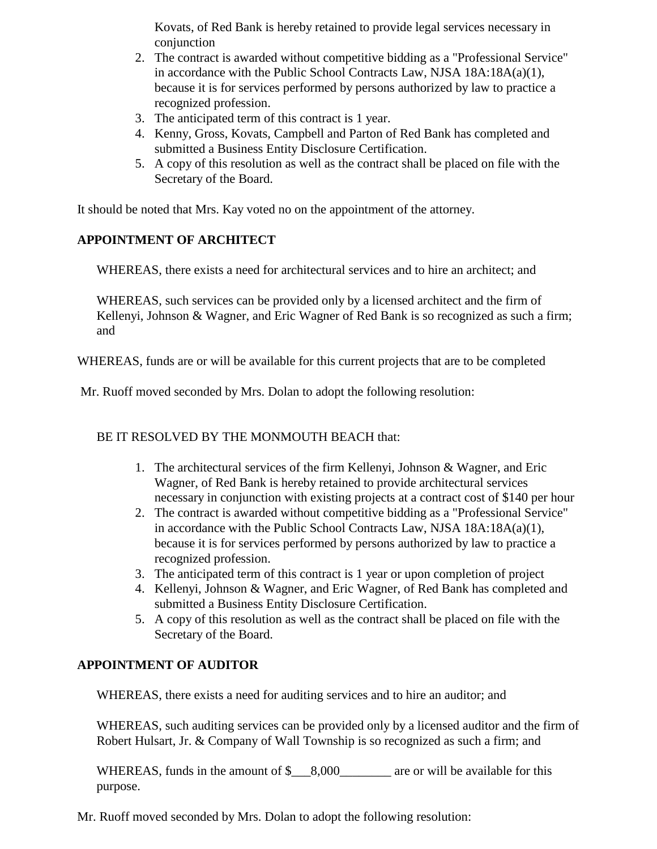Kovats, of Red Bank is hereby retained to provide legal services necessary in conjunction

- 2. The contract is awarded without competitive bidding as a "Professional Service" in accordance with the Public School Contracts Law, NJSA 18A:18A(a)(1), because it is for services performed by persons authorized by law to practice a recognized profession.
- 3. The anticipated term of this contract is 1 year.
- 4. Kenny, Gross, Kovats, Campbell and Parton of Red Bank has completed and submitted a Business Entity Disclosure Certification.
- 5. A copy of this resolution as well as the contract shall be placed on file with the Secretary of the Board.

It should be noted that Mrs. Kay voted no on the appointment of the attorney.

# **APPOINTMENT OF ARCHITECT**

WHEREAS, there exists a need for architectural services and to hire an architect; and

WHEREAS, such services can be provided only by a licensed architect and the firm of Kellenyi, Johnson & Wagner, and Eric Wagner of Red Bank is so recognized as such a firm; and

WHEREAS, funds are or will be available for this current projects that are to be completed

Mr. Ruoff moved seconded by Mrs. Dolan to adopt the following resolution:

BE IT RESOLVED BY THE MONMOUTH BEACH that:

- 1. The architectural services of the firm Kellenyi, Johnson & Wagner, and Eric Wagner, of Red Bank is hereby retained to provide architectural services necessary in conjunction with existing projects at a contract cost of \$140 per hour
- 2. The contract is awarded without competitive bidding as a "Professional Service" in accordance with the Public School Contracts Law, NJSA 18A:18A(a)(1), because it is for services performed by persons authorized by law to practice a recognized profession.
- 3. The anticipated term of this contract is 1 year or upon completion of project
- 4. Kellenyi, Johnson & Wagner, and Eric Wagner, of Red Bank has completed and submitted a Business Entity Disclosure Certification.
- 5. A copy of this resolution as well as the contract shall be placed on file with the Secretary of the Board.

# **APPOINTMENT OF AUDITOR**

WHEREAS, there exists a need for auditing services and to hire an auditor; and

WHEREAS, such auditing services can be provided only by a licensed auditor and the firm of Robert Hulsart, Jr. & Company of Wall Township is so recognized as such a firm; and

WHEREAS, funds in the amount of  $\frac{\$}{\$}$  8,000  $\frac{\$}{\$}$  are or will be available for this purpose.

Mr. Ruoff moved seconded by Mrs. Dolan to adopt the following resolution: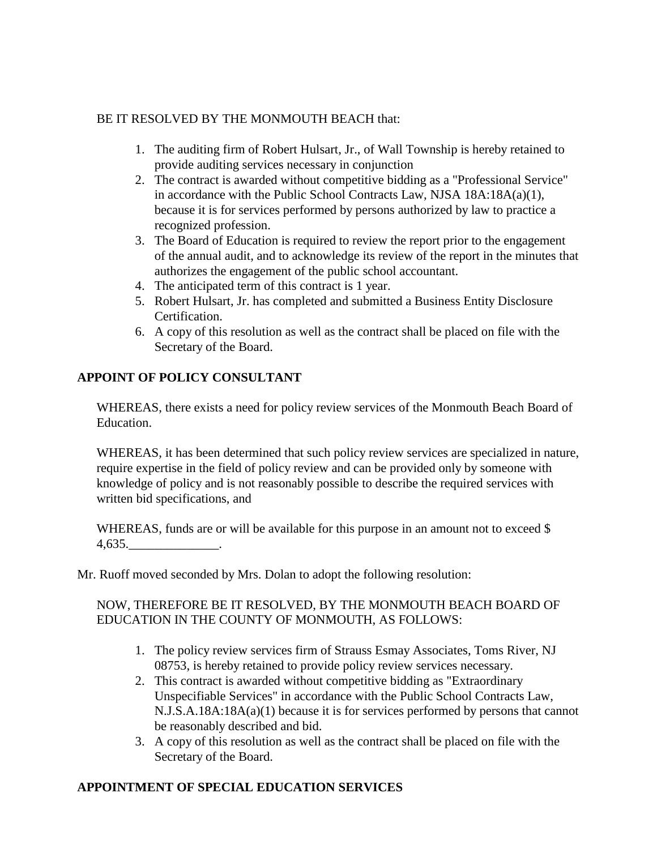# BE IT RESOLVED BY THE MONMOUTH BEACH that:

- 1. The auditing firm of Robert Hulsart, Jr., of Wall Township is hereby retained to provide auditing services necessary in conjunction
- 2. The contract is awarded without competitive bidding as a "Professional Service" in accordance with the Public School Contracts Law, NJSA 18A:18A(a)(1), because it is for services performed by persons authorized by law to practice a recognized profession.
- 3. The Board of Education is required to review the report prior to the engagement of the annual audit, and to acknowledge its review of the report in the minutes that authorizes the engagement of the public school accountant.
- 4. The anticipated term of this contract is 1 year.
- 5. Robert Hulsart, Jr. has completed and submitted a Business Entity Disclosure Certification.
- 6. A copy of this resolution as well as the contract shall be placed on file with the Secretary of the Board.

# **APPOINT OF POLICY CONSULTANT**

WHEREAS, there exists a need for policy review services of the Monmouth Beach Board of Education.

WHEREAS, it has been determined that such policy review services are specialized in nature, require expertise in the field of policy review and can be provided only by someone with knowledge of policy and is not reasonably possible to describe the required services with written bid specifications, and

WHEREAS, funds are or will be available for this purpose in an amount not to exceed \$  $4.635.$  \_\_\_\_\_\_\_\_\_\_\_\_\_\_.

Mr. Ruoff moved seconded by Mrs. Dolan to adopt the following resolution:

# NOW, THEREFORE BE IT RESOLVED, BY THE MONMOUTH BEACH BOARD OF EDUCATION IN THE COUNTY OF MONMOUTH, AS FOLLOWS:

- 1. The policy review services firm of Strauss Esmay Associates, Toms River, NJ 08753, is hereby retained to provide policy review services necessary.
- 2. This contract is awarded without competitive bidding as "Extraordinary Unspecifiable Services" in accordance with the Public School Contracts Law, N.J.S.A.18A:18A(a)(1) because it is for services performed by persons that cannot be reasonably described and bid.
- 3. A copy of this resolution as well as the contract shall be placed on file with the Secretary of the Board.

# **APPOINTMENT OF SPECIAL EDUCATION SERVICES**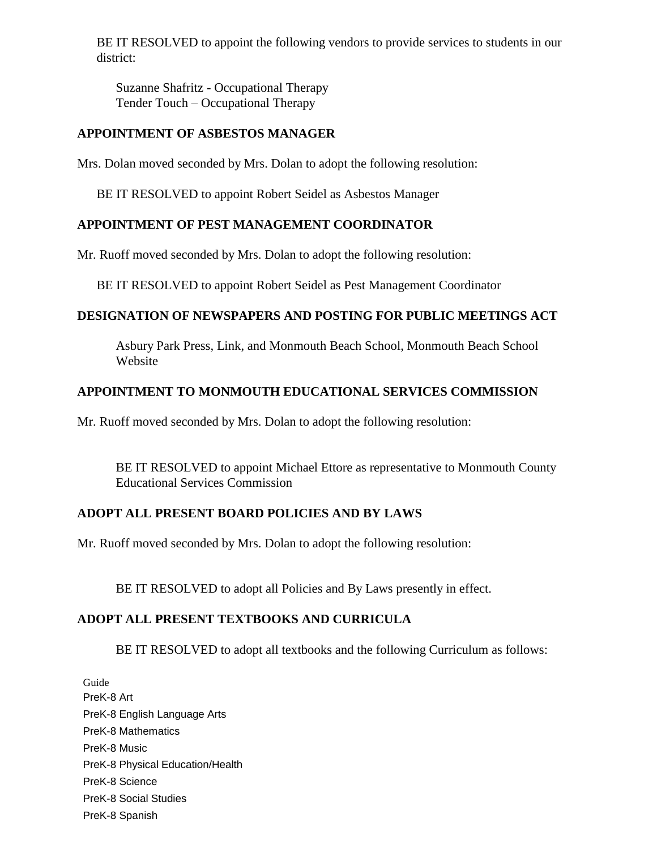BE IT RESOLVED to appoint the following vendors to provide services to students in our district:

Suzanne Shafritz - Occupational Therapy Tender Touch – Occupational Therapy

# **APPOINTMENT OF ASBESTOS MANAGER**

Mrs. Dolan moved seconded by Mrs. Dolan to adopt the following resolution:

BE IT RESOLVED to appoint Robert Seidel as Asbestos Manager

# **APPOINTMENT OF PEST MANAGEMENT COORDINATOR**

Mr. Ruoff moved seconded by Mrs. Dolan to adopt the following resolution:

BE IT RESOLVED to appoint Robert Seidel as Pest Management Coordinator

### **DESIGNATION OF NEWSPAPERS AND POSTING FOR PUBLIC MEETINGS ACT**

Asbury Park Press, Link, and Monmouth Beach School, Monmouth Beach School Website

# **APPOINTMENT TO MONMOUTH EDUCATIONAL SERVICES COMMISSION**

Mr. Ruoff moved seconded by Mrs. Dolan to adopt the following resolution:

BE IT RESOLVED to appoint Michael Ettore as representative to Monmouth County Educational Services Commission

# **ADOPT ALL PRESENT BOARD POLICIES AND BY LAWS**

Mr. Ruoff moved seconded by Mrs. Dolan to adopt the following resolution:

BE IT RESOLVED to adopt all Policies and By Laws presently in effect.

# **ADOPT ALL PRESENT TEXTBOOKS AND CURRICULA**

BE IT RESOLVED to adopt all textbooks and the following Curriculum as follows:

Guide PreK-8 Art PreK-8 English Language Arts PreK-8 Mathematics PreK-8 Music PreK-8 Physical Education/Health PreK-8 Science PreK-8 Social Studies PreK-8 Spanish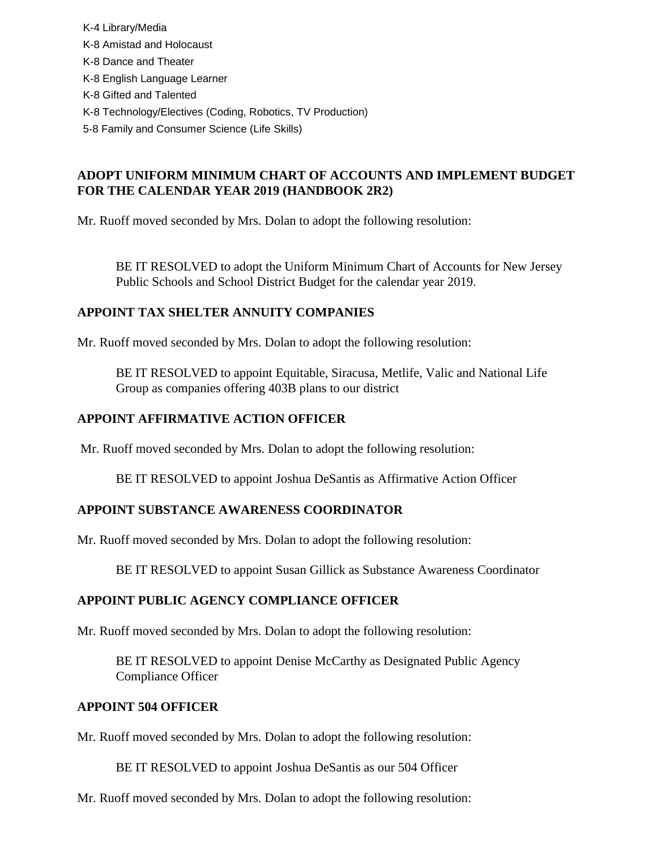K-4 Library/Media K-8 Amistad and Holocaust K-8 Dance and Theater K-8 English Language Learner K-8 Gifted and Talented K-8 Technology/Electives (Coding, Robotics, TV Production) 5-8 Family and Consumer Science (Life Skills)

# **ADOPT UNIFORM MINIMUM CHART OF ACCOUNTS AND IMPLEMENT BUDGET FOR THE CALENDAR YEAR 2019 (HANDBOOK 2R2)**

Mr. Ruoff moved seconded by Mrs. Dolan to adopt the following resolution:

BE IT RESOLVED to adopt the Uniform Minimum Chart of Accounts for New Jersey Public Schools and School District Budget for the calendar year 2019.

# **APPOINT TAX SHELTER ANNUITY COMPANIES**

Mr. Ruoff moved seconded by Mrs. Dolan to adopt the following resolution:

BE IT RESOLVED to appoint Equitable, Siracusa, Metlife, Valic and National Life Group as companies offering 403B plans to our district

### **APPOINT AFFIRMATIVE ACTION OFFICER**

Mr. Ruoff moved seconded by Mrs. Dolan to adopt the following resolution:

BE IT RESOLVED to appoint Joshua DeSantis as Affirmative Action Officer

### **APPOINT SUBSTANCE AWARENESS COORDINATOR**

Mr. Ruoff moved seconded by Mrs. Dolan to adopt the following resolution:

BE IT RESOLVED to appoint Susan Gillick as Substance Awareness Coordinator

### **APPOINT PUBLIC AGENCY COMPLIANCE OFFICER**

Mr. Ruoff moved seconded by Mrs. Dolan to adopt the following resolution:

BE IT RESOLVED to appoint Denise McCarthy as Designated Public Agency Compliance Officer

### **APPOINT 504 OFFICER**

Mr. Ruoff moved seconded by Mrs. Dolan to adopt the following resolution:

BE IT RESOLVED to appoint Joshua DeSantis as our 504 Officer

Mr. Ruoff moved seconded by Mrs. Dolan to adopt the following resolution: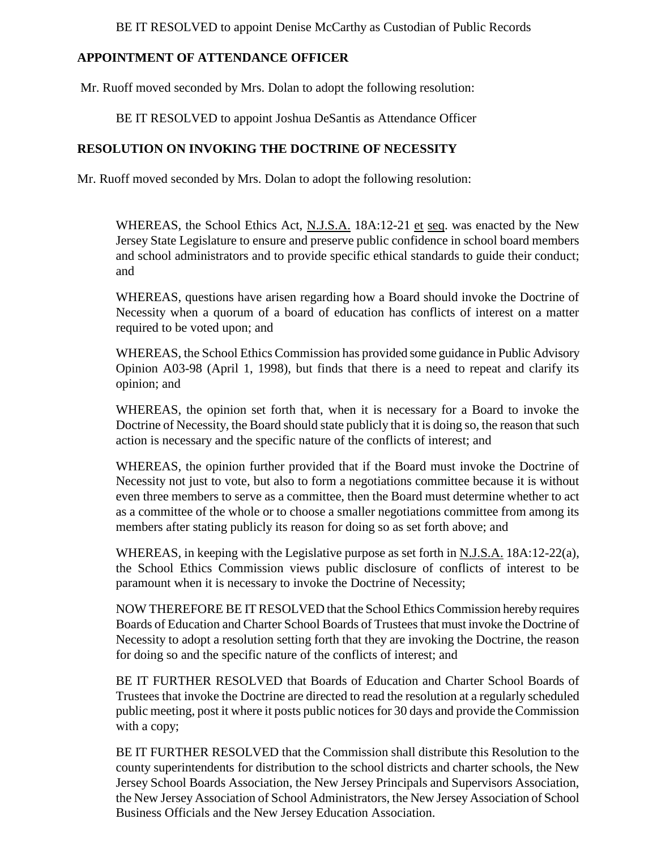BE IT RESOLVED to appoint Denise McCarthy as Custodian of Public Records

# **APPOINTMENT OF ATTENDANCE OFFICER**

Mr. Ruoff moved seconded by Mrs. Dolan to adopt the following resolution:

BE IT RESOLVED to appoint Joshua DeSantis as Attendance Officer

# **RESOLUTION ON INVOKING THE DOCTRINE OF NECESSITY**

Mr. Ruoff moved seconded by Mrs. Dolan to adopt the following resolution:

WHEREAS, the School Ethics Act, N.J.S.A. 18A:12-21 et seq. was enacted by the New Jersey State Legislature to ensure and preserve public confidence in school board members and school administrators and to provide specific ethical standards to guide their conduct; and

WHEREAS, questions have arisen regarding how a Board should invoke the Doctrine of Necessity when a quorum of a board of education has conflicts of interest on a matter required to be voted upon; and

WHEREAS, the School Ethics Commission has provided some guidance in Public Advisory Opinion A03-98 (April 1, 1998), but finds that there is a need to repeat and clarify its opinion; and

WHEREAS, the opinion set forth that, when it is necessary for a Board to invoke the Doctrine of Necessity, the Board should state publicly that it is doing so, the reason that such action is necessary and the specific nature of the conflicts of interest; and

WHEREAS, the opinion further provided that if the Board must invoke the Doctrine of Necessity not just to vote, but also to form a negotiations committee because it is without even three members to serve as a committee, then the Board must determine whether to act as a committee of the whole or to choose a smaller negotiations committee from among its members after stating publicly its reason for doing so as set forth above; and

WHEREAS, in keeping with the Legislative purpose as set forth in N.J.S.A. 18A:12-22(a), the School Ethics Commission views public disclosure of conflicts of interest to be paramount when it is necessary to invoke the Doctrine of Necessity;

NOW THEREFORE BE IT RESOLVED that the School Ethics Commission hereby requires Boards of Education and Charter School Boards of Trustees that must invoke the Doctrine of Necessity to adopt a resolution setting forth that they are invoking the Doctrine, the reason for doing so and the specific nature of the conflicts of interest; and

BE IT FURTHER RESOLVED that Boards of Education and Charter School Boards of Trustees that invoke the Doctrine are directed to read the resolution at a regularly scheduled public meeting, post it where it posts public notices for 30 days and provide the Commission with a copy;

BE IT FURTHER RESOLVED that the Commission shall distribute this Resolution to the county superintendents for distribution to the school districts and charter schools, the New Jersey School Boards Association, the New Jersey Principals and Supervisors Association, the New Jersey Association of School Administrators, the New Jersey Association of School Business Officials and the New Jersey Education Association.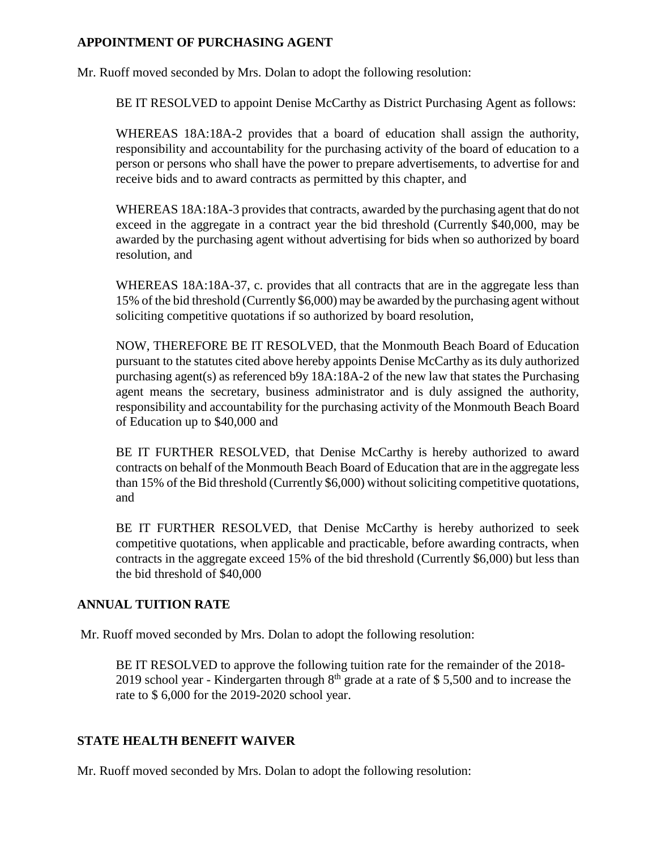### **APPOINTMENT OF PURCHASING AGENT**

Mr. Ruoff moved seconded by Mrs. Dolan to adopt the following resolution:

BE IT RESOLVED to appoint Denise McCarthy as District Purchasing Agent as follows:

WHEREAS 18A:18A-2 provides that a board of education shall assign the authority, responsibility and accountability for the purchasing activity of the board of education to a person or persons who shall have the power to prepare advertisements, to advertise for and receive bids and to award contracts as permitted by this chapter, and

WHEREAS 18A:18A-3 provides that contracts, awarded by the purchasing agent that do not exceed in the aggregate in a contract year the bid threshold (Currently \$40,000, may be awarded by the purchasing agent without advertising for bids when so authorized by board resolution, and

WHEREAS 18A:18A-37, c. provides that all contracts that are in the aggregate less than 15% of the bid threshold (Currently \$6,000) may be awarded by the purchasing agent without soliciting competitive quotations if so authorized by board resolution,

NOW, THEREFORE BE IT RESOLVED, that the Monmouth Beach Board of Education pursuant to the statutes cited above hereby appoints Denise McCarthy as its duly authorized purchasing agent(s) as referenced b9y 18A:18A-2 of the new law that states the Purchasing agent means the secretary, business administrator and is duly assigned the authority, responsibility and accountability for the purchasing activity of the Monmouth Beach Board of Education up to \$40,000 and

BE IT FURTHER RESOLVED, that Denise McCarthy is hereby authorized to award contracts on behalf of the Monmouth Beach Board of Education that are in the aggregate less than 15% of the Bid threshold (Currently \$6,000) without soliciting competitive quotations, and

BE IT FURTHER RESOLVED, that Denise McCarthy is hereby authorized to seek competitive quotations, when applicable and practicable, before awarding contracts, when contracts in the aggregate exceed 15% of the bid threshold (Currently \$6,000) but less than the bid threshold of \$40,000

# **ANNUAL TUITION RATE**

Mr. Ruoff moved seconded by Mrs. Dolan to adopt the following resolution:

BE IT RESOLVED to approve the following tuition rate for the remainder of the 2018- 2019 school year - Kindergarten through  $8<sup>th</sup>$  grade at a rate of \$ 5,500 and to increase the rate to \$ 6,000 for the 2019-2020 school year.

# **STATE HEALTH BENEFIT WAIVER**

Mr. Ruoff moved seconded by Mrs. Dolan to adopt the following resolution: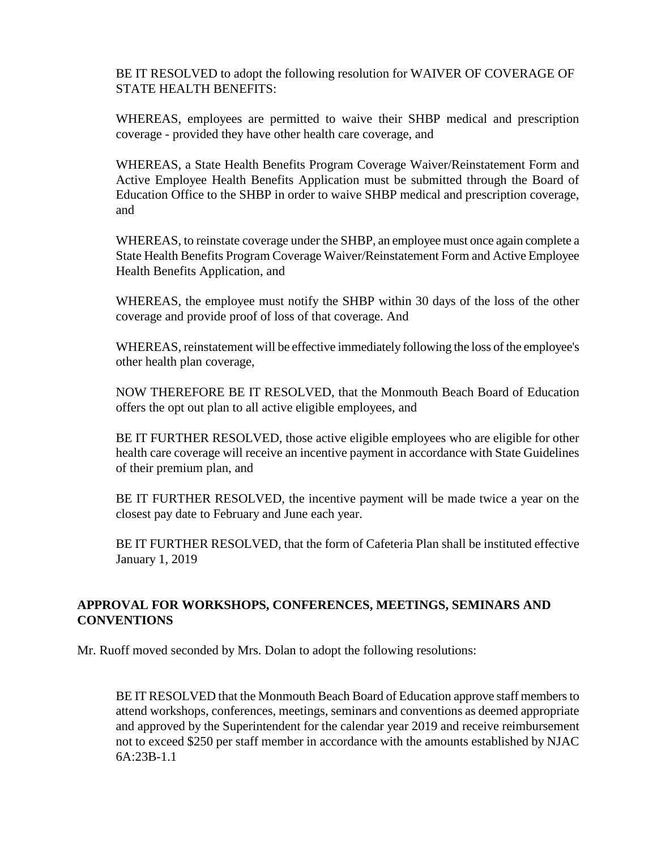BE IT RESOLVED to adopt the following resolution for WAIVER OF COVERAGE OF STATE HEALTH BENEFITS:

WHEREAS, employees are permitted to waive their SHBP medical and prescription coverage - provided they have other health care coverage, and

WHEREAS, a State Health Benefits Program Coverage Waiver/Reinstatement Form and Active Employee Health Benefits Application must be submitted through the Board of Education Office to the SHBP in order to waive SHBP medical and prescription coverage, and

WHEREAS, to reinstate coverage under the SHBP, an employee must once again complete a State Health Benefits Program Coverage Waiver/Reinstatement Form and Active Employee Health Benefits Application, and

WHEREAS, the employee must notify the SHBP within 30 days of the loss of the other coverage and provide proof of loss of that coverage. And

WHEREAS, reinstatement will be effective immediately following the loss of the employee's other health plan coverage,

NOW THEREFORE BE IT RESOLVED, that the Monmouth Beach Board of Education offers the opt out plan to all active eligible employees, and

BE IT FURTHER RESOLVED, those active eligible employees who are eligible for other health care coverage will receive an incentive payment in accordance with State Guidelines of their premium plan, and

BE IT FURTHER RESOLVED, the incentive payment will be made twice a year on the closest pay date to February and June each year.

BE IT FURTHER RESOLVED, that the form of Cafeteria Plan shall be instituted effective January 1, 2019

# **APPROVAL FOR WORKSHOPS, CONFERENCES, MEETINGS, SEMINARS AND CONVENTIONS**

Mr. Ruoff moved seconded by Mrs. Dolan to adopt the following resolutions:

BE IT RESOLVED that the Monmouth Beach Board of Education approve staff members to attend workshops, conferences, meetings, seminars and conventions as deemed appropriate and approved by the Superintendent for the calendar year 2019 and receive reimbursement not to exceed \$250 per staff member in accordance with the amounts established by NJAC 6A:23B-1.1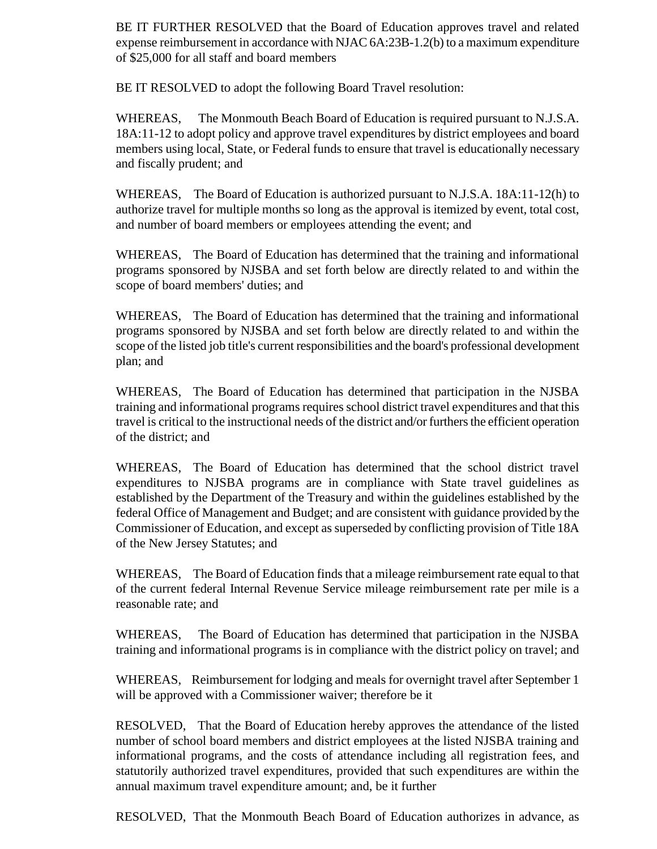BE IT FURTHER RESOLVED that the Board of Education approves travel and related expense reimbursement in accordance with NJAC 6A:23B-1.2(b) to a maximum expenditure of \$25,000 for all staff and board members

BE IT RESOLVED to adopt the following Board Travel resolution:

WHEREAS, The Monmouth Beach Board of Education is required pursuant to N.J.S.A. 18A:11-12 to adopt policy and approve travel expenditures by district employees and board members using local, State, or Federal funds to ensure that travel is educationally necessary and fiscally prudent; and

WHEREAS, The Board of Education is authorized pursuant to N.J.S.A. 18A:11-12(h) to authorize travel for multiple months so long as the approval is itemized by event, total cost, and number of board members or employees attending the event; and

WHEREAS, The Board of Education has determined that the training and informational programs sponsored by NJSBA and set forth below are directly related to and within the scope of board members' duties; and

WHEREAS, The Board of Education has determined that the training and informational programs sponsored by NJSBA and set forth below are directly related to and within the scope of the listed job title's current responsibilities and the board's professional development plan; and

WHEREAS, The Board of Education has determined that participation in the NJSBA training and informational programs requires school district travel expenditures and that this travel is critical to the instructional needs of the district and/or furthers the efficient operation of the district; and

WHEREAS, The Board of Education has determined that the school district travel expenditures to NJSBA programs are in compliance with State travel guidelines as established by the Department of the Treasury and within the guidelines established by the federal Office of Management and Budget; and are consistent with guidance provided by the Commissioner of Education, and except as superseded by conflicting provision of Title 18A of the New Jersey Statutes; and

WHEREAS, The Board of Education finds that a mileage reimbursement rate equal to that of the current federal Internal Revenue Service mileage reimbursement rate per mile is a reasonable rate; and

WHEREAS, The Board of Education has determined that participation in the NJSBA training and informational programs is in compliance with the district policy on travel; and

WHEREAS, Reimbursement for lodging and meals for overnight travel after September 1 will be approved with a Commissioner waiver; therefore be it

RESOLVED, That the Board of Education hereby approves the attendance of the listed number of school board members and district employees at the listed NJSBA training and informational programs, and the costs of attendance including all registration fees, and statutorily authorized travel expenditures, provided that such expenditures are within the annual maximum travel expenditure amount; and, be it further

RESOLVED, That the Monmouth Beach Board of Education authorizes in advance, as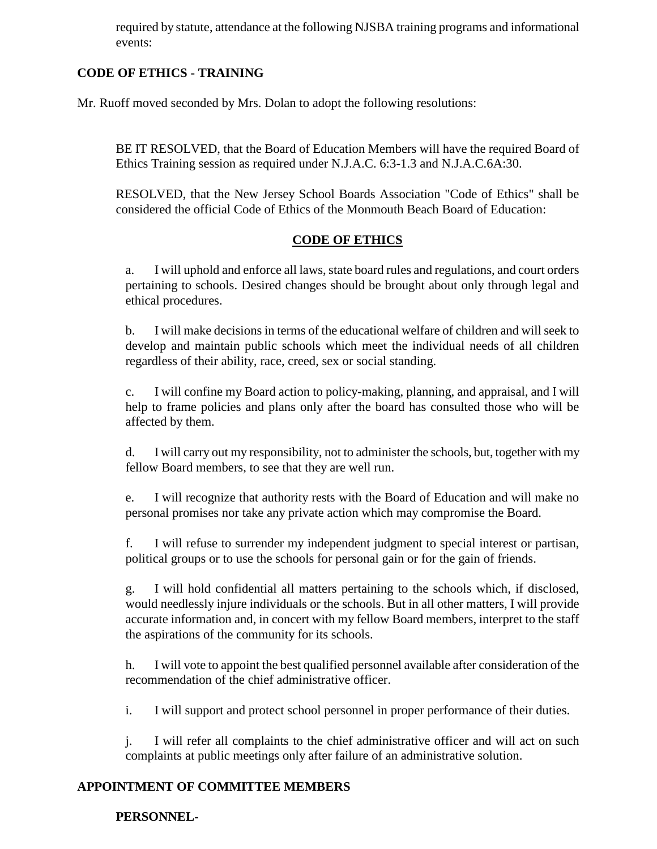required by statute, attendance at the following NJSBA training programs and informational events:

# **CODE OF ETHICS - TRAINING**

Mr. Ruoff moved seconded by Mrs. Dolan to adopt the following resolutions:

BE IT RESOLVED, that the Board of Education Members will have the required Board of Ethics Training session as required under N.J.A.C. 6:3-1.3 and N.J.A.C.6A:30.

RESOLVED, that the New Jersey School Boards Association "Code of Ethics" shall be considered the official Code of Ethics of the Monmouth Beach Board of Education:

# **CODE OF ETHICS**

a. I will uphold and enforce all laws, state board rules and regulations, and court orders pertaining to schools. Desired changes should be brought about only through legal and ethical procedures.

b. I will make decisions in terms of the educational welfare of children and will seek to develop and maintain public schools which meet the individual needs of all children regardless of their ability, race, creed, sex or social standing.

c. I will confine my Board action to policy-making, planning, and appraisal, and I will help to frame policies and plans only after the board has consulted those who will be affected by them.

d. I will carry out my responsibility, not to administer the schools, but, together with my fellow Board members, to see that they are well run.

e. I will recognize that authority rests with the Board of Education and will make no personal promises nor take any private action which may compromise the Board.

f. I will refuse to surrender my independent judgment to special interest or partisan, political groups or to use the schools for personal gain or for the gain of friends.

g. I will hold confidential all matters pertaining to the schools which, if disclosed, would needlessly injure individuals or the schools. But in all other matters, I will provide accurate information and, in concert with my fellow Board members, interpret to the staff the aspirations of the community for its schools.

h. I will vote to appoint the best qualified personnel available after consideration of the recommendation of the chief administrative officer.

i. I will support and protect school personnel in proper performance of their duties.

j. I will refer all complaints to the chief administrative officer and will act on such complaints at public meetings only after failure of an administrative solution.

# **APPOINTMENT OF COMMITTEE MEMBERS**

**PERSONNEL-**